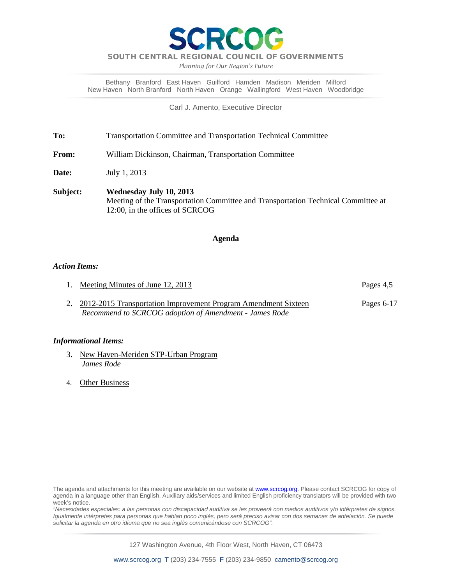

*Planning for Our Region's Future*

Bethany Branford East Haven Guilford Hamden Madison Meriden Milford New Haven North Branford North Haven Orange Wallingford West Haven Woodbridge

Carl J. Amento, Executive Director

**To:** Transportation Committee and Transportation Technical Committee

**From:** William Dickinson, Chairman, Transportation Committee

**Date:** July 1, 2013

**Subject: Wednesday July 10, 2013** Meeting of the Transportation Committee and Transportation Technical Committee at 12:00, in the offices of SCRCOG

### **Agenda**

### *Action Items:*

- 1. Meeting Minutes of June 12, 2013
- 2. 2012-2015 Transportation Improvement Program Amendment Sixteen Pages 6-17 *Recommend to SCRCOG adoption of Amendment - James Rode*

### *Informational Items:*

- 3. New Haven-Meriden STP-Urban Program *James Rode*
- 4. Other Business

*"Necesidades especiales: a las personas con discapacidad auditiva se les proveerá con medios auditivos y/o intérpretes de signos. Igualmente intérpretes para personas que hablan poco inglés, pero será preciso avisar con dos semanas de antelación. Se puede solicitar la agenda en otro idioma que no sea inglés comunicándose con SCRCOG".*

The agenda and attachments for this meeting are available on our website at **www.scrcog.org**. Please contact SCRCOG for copy of agenda in a language other than English. Auxiliary aids/services and limited English proficiency translators will be provided with two week's notice.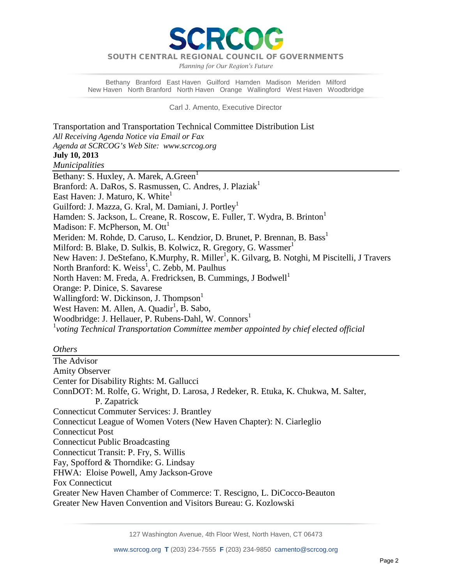PCC

*Planning for Our Region's Future*

Bethany Branford East Haven Guilford Hamden Madison Meriden Milford New Haven North Branford North Haven Orange Wallingford West Haven Woodbridge

Carl J. Amento, Executive Director

Transportation and Transportation Technical Committee Distribution List *All Receiving Agenda Notice via Email or Fax Agenda at SCRCOG's Web Site: www.scrcog.org*  **July 10, 2013** *Municipalities*  Bethany: S. Huxley, A. Marek, A. Green<sup>1</sup> Branford: A. DaRos, S. Rasmussen, C. Andres, J. Plaziak<sup>1</sup> East Haven: J. Maturo, K. White<sup>1</sup> Guilford: J. Mazza, G. Kral, M. Damiani, J. Portley<sup>1</sup> Hamden: S. Jackson, L. Creane, R. Roscow, E. Fuller, T. Wydra, B. Brinton<sup>1</sup> Madison: F. McPherson, M.  $\text{Out}^1$ Meriden: M. Rohde, D. Caruso, L. Kendzior, D. Brunet, P. Brennan, B. Bass<sup>1</sup> Milford: B. Blake, D. Sulkis, B. Kolwicz, R. Gregory, G. Wassmer<sup>1</sup> New Haven: J. DeStefano, K.Murphy, R. Miller<sup>1</sup>, K. Gilvarg, B. Notghi, M Piscitelli, J Travers North Branford: K. Weiss<sup>1</sup>, C. Zebb, M. Paulhus North Haven: M. Freda, A. Fredricksen, B. Cummings, J Bodwell<sup>1</sup> Orange: P. Dinice, S. Savarese Wallingford: W. Dickinson, J. Thompson<sup>1</sup> West Haven: M. Allen, A. Quadir<sup>1</sup>, B. Sabo, Woodbridge: J. Hellauer, P. Rubens-Dahl, W. Connors<sup>1</sup> 1 *voting Technical Transportation Committee member appointed by chief elected official*

### *Others*

The Advisor Amity Observer Center for Disability Rights: M. Gallucci ConnDOT: M. Rolfe, G. Wright, D. Larosa, J Redeker, R. Etuka, K. Chukwa, M. Salter, P. Zapatrick Connecticut Commuter Services: J. Brantley Connecticut League of Women Voters (New Haven Chapter): N. Ciarleglio Connecticut Post Connecticut Public Broadcasting Connecticut Transit: P. Fry, S. Willis Fay, Spofford & Thorndike: G. Lindsay FHWA: Eloise Powell, Amy Jackson-Grove Fox Connecticut Greater New Haven Chamber of Commerce: T. Rescigno, L. DiCocco-Beauton Greater New Haven Convention and Visitors Bureau: G. Kozlowski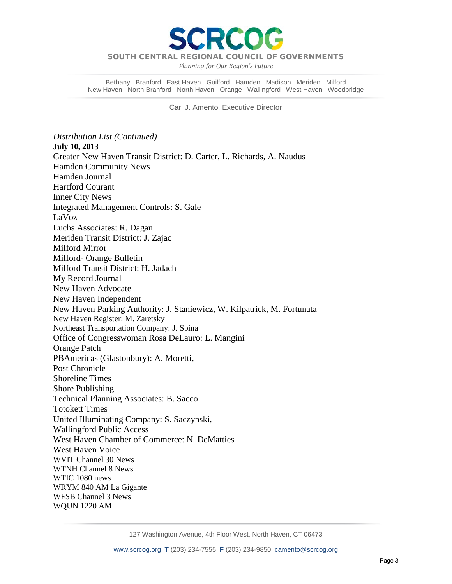

*Planning for Our Region's Future*

Bethany Branford East Haven Guilford Hamden Madison Meriden Milford New Haven North Branford North Haven Orange Wallingford West Haven Woodbridge

Carl J. Amento, Executive Director

*Distribution List (Continued)* **July 10, 2013** Greater New Haven Transit District: D. Carter, L. Richards, A. Naudus Hamden Community News Hamden Journal Hartford Courant Inner City News Integrated Management Controls: S. Gale LaVoz Luchs Associates: R. Dagan Meriden Transit District: J. Zajac Milford Mirror Milford- Orange Bulletin Milford Transit District: H. Jadach My Record Journal New Haven Advocate New Haven Independent New Haven Parking Authority: J. Staniewicz, W. Kilpatrick, M. Fortunata New Haven Register: M. Zaretsky Northeast Transportation Company: J. Spina Office of Congresswoman Rosa DeLauro: L. Mangini Orange Patch PBAmericas (Glastonbury): A. Moretti, Post Chronicle Shoreline Times Shore Publishing Technical Planning Associates: B. Sacco Totokett Times United Illuminating Company: S. Saczynski, Wallingford Public Access West Haven Chamber of Commerce: N. DeMatties West Haven Voice WVIT Channel 30 News WTNH Channel 8 News WTIC 1080 news WRYM 840 AM La Gigante WFSB Channel 3 News WQUN 1220 AM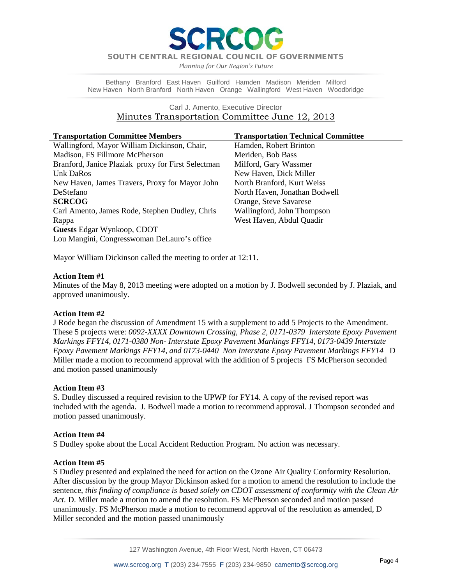*Planning for Our Region's Future*

Bethany Branford East Haven Guilford Hamden Madison Meriden Milford New Haven North Branford North Haven Orange Wallingford West Haven Woodbridge

### Carl J. Amento, Executive Director Minutes Transportation Committee June 12, 2013

| <b>Transportation Committee Members</b>            | <b>Transportation Technical Committee</b> |
|----------------------------------------------------|-------------------------------------------|
| Wallingford, Mayor William Dickinson, Chair,       | Hamden, Robert Brinton                    |
| Madison, FS Fillmore McPherson                     | Meriden, Bob Bass                         |
| Branford, Janice Plaziak proxy for First Selectman | Milford, Gary Wassmer                     |
| Unk DaRos                                          | New Haven, Dick Miller                    |
| New Haven, James Travers, Proxy for Mayor John     | North Branford, Kurt Weiss                |
| DeStefano                                          | North Haven, Jonathan Bodwell             |
| <b>SCRCOG</b>                                      | Orange, Steve Savarese                    |
| Carl Amento, James Rode, Stephen Dudley, Chris     | Wallingford, John Thompson                |
| Rappa                                              | West Haven, Abdul Quadir                  |
| <b>Guests Edgar Wynkoop, CDOT</b>                  |                                           |
| Lou Mangini, Congresswoman DeLauro's office        |                                           |

Mayor William Dickinson called the meeting to order at 12:11.

### **Action Item #1**

Minutes of the May 8, 2013 meeting were adopted on a motion by J. Bodwell seconded by J. Plaziak, and approved unanimously.

### **Action Item #2**

J Rode began the discussion of Amendment 15 with a supplement to add 5 Projects to the Amendment. These 5 projects were: *0092-XXXX Downtown Crossing, Phase 2, 0171-0379 Interstate Epoxy Pavement Markings FFY14, 0171-0380 Non- Interstate Epoxy Pavement Markings FFY14, 0173-0439 Interstate Epoxy Pavement Markings FFY14, and 0173-0440 Non Interstate Epoxy Pavement Markings FFY14* D Miller made a motion to recommend approval with the addition of 5 projects FS McPherson seconded and motion passed unanimously

### **Action Item #3**

S. Dudley discussed a required revision to the UPWP for FY14. A copy of the revised report was included with the agenda. J. Bodwell made a motion to recommend approval. J Thompson seconded and motion passed unanimously.

### **Action Item #4**

S Dudley spoke about the Local Accident Reduction Program. No action was necessary.

### **Action Item #5**

S Dudley presented and explained the need for action on the Ozone Air Quality Conformity Resolution. After discussion by the group Mayor Dickinson asked for a motion to amend the resolution to include the sentence, *this finding of compliance is based solely on CDOT assessment of conformity with the Clean Air Act.* D. Miller made a motion to amend the resolution. FS McPherson seconded and motion passed unanimously. FS McPherson made a motion to recommend approval of the resolution as amended, D Miller seconded and the motion passed unanimously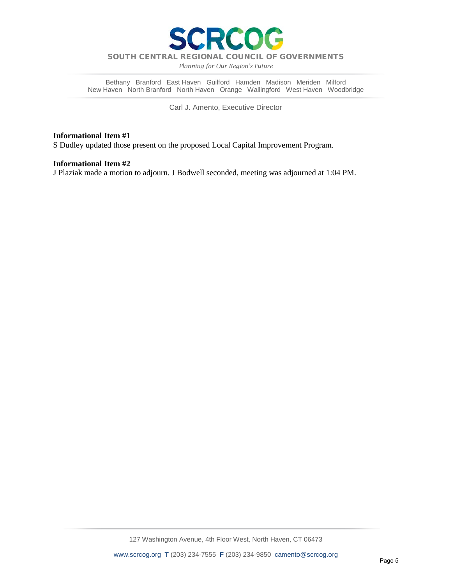

*Planning for Our Region's Future*

Bethany Branford East Haven Guilford Hamden Madison Meriden Milford New Haven North Branford North Haven Orange Wallingford West Haven Woodbridge

Carl J. Amento, Executive Director

### **Informational Item #1**

S Dudley updated those present on the proposed Local Capital Improvement Program.

### **Informational Item #2**

J Plaziak made a motion to adjourn. J Bodwell seconded, meeting was adjourned at 1:04 PM.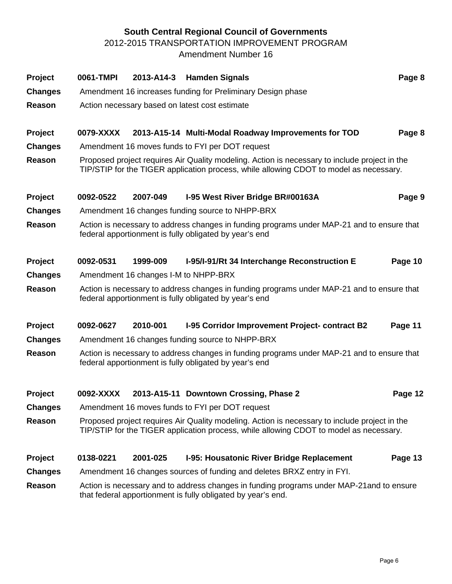# **South Central Regional Council of Governments**

2012-2015 TRANSPORTATION IMPROVEMENT PROGRAM

Amendment Number 16

| Project        | 0061-TMPI |                                      | 2013-A14-3 Hamden Signals                                                                                                                                                               | Page 8  |
|----------------|-----------|--------------------------------------|-----------------------------------------------------------------------------------------------------------------------------------------------------------------------------------------|---------|
| <b>Changes</b> |           |                                      | Amendment 16 increases funding for Preliminary Design phase                                                                                                                             |         |
| Reason         |           |                                      | Action necessary based on latest cost estimate                                                                                                                                          |         |
|                |           |                                      |                                                                                                                                                                                         |         |
| <b>Project</b> | 0079-XXXX |                                      | 2013-A15-14 Multi-Modal Roadway Improvements for TOD                                                                                                                                    | Page 8  |
| <b>Changes</b> |           |                                      | Amendment 16 moves funds to FYI per DOT request                                                                                                                                         |         |
| Reason         |           |                                      | Proposed project requires Air Quality modeling. Action is necessary to include project in the<br>TIP/STIP for the TIGER application process, while allowing CDOT to model as necessary. |         |
| Project        | 0092-0522 | 2007-049                             | I-95 West River Bridge BR#00163A                                                                                                                                                        | Page 9  |
| <b>Changes</b> |           |                                      | Amendment 16 changes funding source to NHPP-BRX                                                                                                                                         |         |
| Reason         |           |                                      | Action is necessary to address changes in funding programs under MAP-21 and to ensure that<br>federal apportionment is fully obligated by year's end                                    |         |
| Project        | 0092-0531 | 1999-009                             | I-95/I-91/Rt 34 Interchange Reconstruction E                                                                                                                                            | Page 10 |
| <b>Changes</b> |           | Amendment 16 changes I-M to NHPP-BRX |                                                                                                                                                                                         |         |
| Reason         |           |                                      | Action is necessary to address changes in funding programs under MAP-21 and to ensure that<br>federal apportionment is fully obligated by year's end                                    |         |
| <b>Project</b> | 0092-0627 | 2010-001                             | I-95 Corridor Improvement Project- contract B2                                                                                                                                          | Page 11 |
| <b>Changes</b> |           |                                      | Amendment 16 changes funding source to NHPP-BRX                                                                                                                                         |         |
| Reason         |           |                                      | Action is necessary to address changes in funding programs under MAP-21 and to ensure that<br>federal apportionment is fully obligated by year's end                                    |         |
| Project        | 0092-XXXX |                                      | 2013-A15-11 Downtown Crossing, Phase 2                                                                                                                                                  | Page 12 |
| <b>Changes</b> |           |                                      | Amendment 16 moves funds to FYI per DOT request                                                                                                                                         |         |
| Reason         |           |                                      | Proposed project requires Air Quality modeling. Action is necessary to include project in the<br>TIP/STIP for the TIGER application process, while allowing CDOT to model as necessary. |         |
| Project        | 0138-0221 | 2001-025                             | I-95: Housatonic River Bridge Replacement                                                                                                                                               | Page 13 |
| <b>Changes</b> |           |                                      | Amendment 16 changes sources of funding and deletes BRXZ entry in FYI.                                                                                                                  |         |
| Reason         |           |                                      | Action is necessary and to address changes in funding programs under MAP-21 and to ensure<br>that federal apportionment is fully obligated by year's end.                               |         |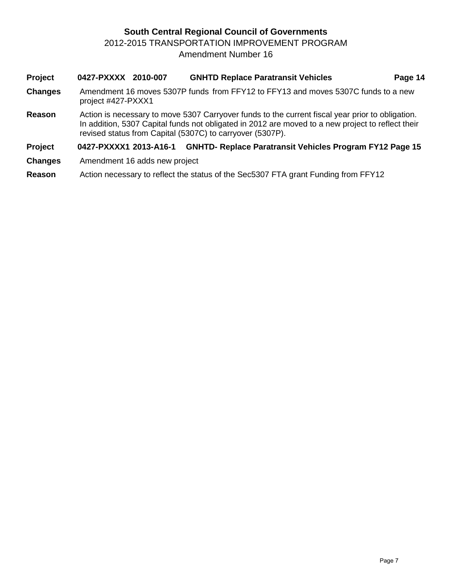# **South Central Regional Council of Governments** 2012-2015 TRANSPORTATION IMPROVEMENT PROGRAM Amendment Number 16

- **Project 0427-PXXXX 2010-007 GNHTD Replace Paratransit Vehicles Page 14 Changes** Amendment 16 moves 5307P funds from FFY12 to FFY13 and moves 5307C funds to a new project #427-PXXX1 **Reason** Action is necessary to move 5307 Carryover funds to the current fiscal year prior to obligation. In addition, 5307 Capital funds not obligated in 2012 are moved to a new project to reflect their revised status from Capital (5307C) to carryover (5307P). **Project 0427-PXXXX1 2013-A16-1 GNHTD- Replace Paratransit Vehicles Program FY12 Page 15**
- **Changes** Amendment 16 adds new project
- **Reason** Action necessary to reflect the status of the Sec5307 FTA grant Funding from FFY12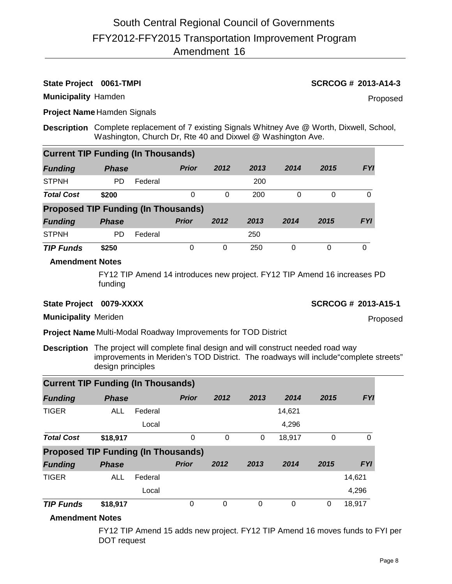## **State Project 0061-TMPI SCRCOG # 2013-A14-3**

Proposed

**Municipality** Hamden

**Project Name** Hamden Signals

**Description** Complete replacement of 7 existing Signals Whitney Ave @ Worth, Dixwell, School, Washington, Church Dr, Rte 40 and Dixwel @ Washington Ave.

| <b>Current TIP Funding (In Thousands)</b>  |              |         |              |      |      |      |      |            |  |  |  |  |  |
|--------------------------------------------|--------------|---------|--------------|------|------|------|------|------------|--|--|--|--|--|
| <b>Funding</b>                             | <b>Phase</b> |         | <b>Prior</b> | 2012 | 2013 | 2014 | 2015 | <b>FYI</b> |  |  |  |  |  |
| <b>STPNH</b>                               | PD           | Federal |              |      | 200  |      |      |            |  |  |  |  |  |
| <b>Total Cost</b>                          | \$200        |         | 0            | 0    | 200  | 0    | 0    | 0          |  |  |  |  |  |
| <b>Proposed TIP Funding (In Thousands)</b> |              |         |              |      |      |      |      |            |  |  |  |  |  |
| <b>Funding</b>                             | <b>Phase</b> |         | <b>Prior</b> | 2012 | 2013 | 2014 | 2015 | <b>FYI</b> |  |  |  |  |  |
| <b>STPNH</b>                               | PD           | Federal |              |      | 250  |      |      |            |  |  |  |  |  |
| <b>TIP Funds</b>                           | \$250        |         | 0            | 0    | 250  | 0    | 0    | 0          |  |  |  |  |  |

### **Amendment Notes**

FY12 TIP Amend 14 introduces new project. FY12 TIP Amend 16 increases PD funding

### **State Project** 0079-XXXX **SCRCOG # 2013-A15-1**

Proposed

**Municipality** Meriden

**Project Name** Multi-Modal Roadway Improvements for TOD District

**Description** The project will complete final design and will construct needed road way improvements in Meriden's TOD District. The roadways will include"complete streets" design principles

| <b>Current TIP Funding (In Thousands)</b>  |              |         |              |          |      |        |      |            |  |  |  |  |  |
|--------------------------------------------|--------------|---------|--------------|----------|------|--------|------|------------|--|--|--|--|--|
| <b>Funding</b>                             | <b>Phase</b> |         | <b>Prior</b> | 2012     | 2013 | 2014   | 2015 | <b>FYI</b> |  |  |  |  |  |
| <b>TIGER</b>                               | <b>ALL</b>   | Federal |              |          |      | 14,621 |      |            |  |  |  |  |  |
|                                            |              | Local   |              |          |      | 4,296  |      |            |  |  |  |  |  |
| <b>Total Cost</b>                          | \$18,917     |         | 0            | $\Omega$ | 0    | 18,917 | 0    | $\Omega$   |  |  |  |  |  |
| <b>Proposed TIP Funding (In Thousands)</b> |              |         |              |          |      |        |      |            |  |  |  |  |  |
| <b>Funding</b>                             | <b>Phase</b> |         | <b>Prior</b> | 2012     | 2013 | 2014   | 2015 | <b>FYI</b> |  |  |  |  |  |
| <b>TIGER</b>                               | ALL          | Federal |              |          |      |        |      | 14,621     |  |  |  |  |  |
|                                            |              | Local   |              |          |      |        |      | 4,296      |  |  |  |  |  |
| <b>TIP Funds</b>                           | \$18,917     |         | 0            | $\Omega$ | 0    | 0      | 0    | 18,917     |  |  |  |  |  |

### **Amendment Notes**

FY12 TIP Amend 15 adds new project. FY12 TIP Amend 16 moves funds to FYI per DOT request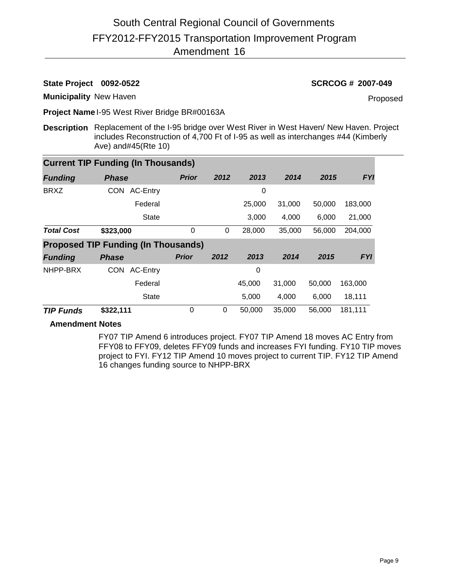**State Project 0092-0522 SCRCOG # 2007-049**

**Municipality** New Haven

Proposed

**Project Name** I-95 West River Bridge BR#00163A

**Description** Replacement of the I-95 bridge over West River in West Haven/ New Haven. Project includes Reconstruction of 4,700 Ft of I-95 as well as interchanges #44 (Kimberly Ave) and#45(Rte 10)

| <b>Current TIP Funding (In Thousands)</b> |                                            |              |      |        |        |        |            |  |  |  |  |
|-------------------------------------------|--------------------------------------------|--------------|------|--------|--------|--------|------------|--|--|--|--|
| <b>Funding</b>                            | <b>Phase</b>                               | <b>Prior</b> | 2012 | 2013   | 2014   | 2015   | <b>FYI</b> |  |  |  |  |
| <b>BRXZ</b>                               | <b>CON</b><br>AC-Entry                     |              |      | 0      |        |        |            |  |  |  |  |
|                                           | Federal                                    |              |      | 25,000 | 31,000 | 50,000 | 183,000    |  |  |  |  |
|                                           | State                                      |              |      | 3,000  | 4,000  | 6,000  | 21,000     |  |  |  |  |
| <b>Total Cost</b>                         | \$323,000                                  | $\mathbf 0$  | 0    | 28,000 | 35,000 | 56,000 | 204,000    |  |  |  |  |
|                                           | <b>Proposed TIP Funding (In Thousands)</b> |              |      |        |        |        |            |  |  |  |  |
| <b>Funding</b>                            | <b>Phase</b>                               | <b>Prior</b> | 2012 | 2013   | 2014   | 2015   | <b>FYI</b> |  |  |  |  |
| NHPP-BRX                                  | <b>CON</b><br><b>AC-Entry</b>              |              |      | 0      |        |        |            |  |  |  |  |
|                                           | Federal                                    |              |      | 45,000 | 31,000 | 50,000 | 163,000    |  |  |  |  |
|                                           | <b>State</b>                               |              |      | 5,000  | 4,000  | 6,000  | 18,111     |  |  |  |  |
| <b>TIP Funds</b>                          | \$322,111                                  | 0            | 0    | 50,000 | 35,000 | 56,000 | 181,111    |  |  |  |  |

## **Amendment Notes**

FY07 TIP Amend 6 introduces project. FY07 TIP Amend 18 moves AC Entry from FFY08 to FFY09, deletes FFY09 funds and increases FYI funding. FY10 TIP moves project to FYI. FY12 TIP Amend 10 moves project to current TIP. FY12 TIP Amend 16 changes funding source to NHPP-BRX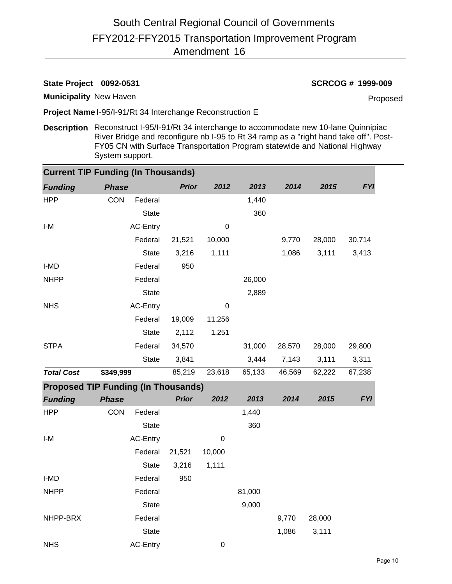## **State Project 0092-0531 SCRCOG # 1999-009**

**Municipality** New Haven

Proposed

**Project Name** I-95/I-91/Rt 34 Interchange Reconstruction E

**Description** Reconstruct I-95/I-91/Rt 34 interchange to accommodate new 10-lane Quinnipiac River Bridge and reconfigure nb I-95 to Rt 34 ramp as a "right hand take off". Post-FY05 CN with Surface Transportation Program statewide and National Highway System support.

| <b>Current TIP Funding (In Thousands)</b>  |              |                 |              |             |        |        |        |            |
|--------------------------------------------|--------------|-----------------|--------------|-------------|--------|--------|--------|------------|
| <b>Funding</b>                             | <b>Phase</b> |                 | <b>Prior</b> | 2012        | 2013   | 2014   | 2015   | <b>FYI</b> |
| <b>HPP</b>                                 | CON          | Federal         |              |             | 1,440  |        |        |            |
|                                            |              | <b>State</b>    |              |             | 360    |        |        |            |
| I-M                                        |              | <b>AC-Entry</b> |              | 0           |        |        |        |            |
|                                            |              | Federal         | 21,521       | 10,000      |        | 9,770  | 28,000 | 30,714     |
|                                            |              | <b>State</b>    | 3,216        | 1,111       |        | 1,086  | 3,111  | 3,413      |
| I-MD                                       |              | Federal         | 950          |             |        |        |        |            |
| <b>NHPP</b>                                |              | Federal         |              |             | 26,000 |        |        |            |
|                                            |              | <b>State</b>    |              |             | 2,889  |        |        |            |
| <b>NHS</b>                                 |              | AC-Entry        |              | $\mathbf 0$ |        |        |        |            |
|                                            |              | Federal         | 19,009       | 11,256      |        |        |        |            |
|                                            |              | <b>State</b>    | 2,112        | 1,251       |        |        |        |            |
| <b>STPA</b>                                |              | Federal         | 34,570       |             | 31,000 | 28,570 | 28,000 | 29,800     |
|                                            |              | <b>State</b>    | 3,841        |             | 3,444  | 7,143  | 3,111  | 3,311      |
| <b>Total Cost</b>                          | \$349,999    |                 | 85,219       | 23,618      | 65,133 | 46,569 | 62,222 | 67,238     |
| <b>Proposed TIP Funding (In Thousands)</b> |              |                 |              |             |        |        |        |            |
| <b>Funding</b>                             | <b>Phase</b> |                 | <b>Prior</b> | 2012        | 2013   | 2014   | 2015   | <b>FYI</b> |
| <b>HPP</b>                                 | <b>CON</b>   | Federal         |              |             | 1,440  |        |        |            |
|                                            |              | <b>State</b>    |              |             | 360    |        |        |            |
| I-M                                        |              | AC-Entry        |              | 0           |        |        |        |            |
|                                            |              | Federal         | 21,521       | 10,000      |        |        |        |            |
|                                            |              | <b>State</b>    | 3,216        | 1,111       |        |        |        |            |
| I-MD                                       |              | Federal         | 950          |             |        |        |        |            |
| <b>NHPP</b>                                |              | Federal         |              |             | 81,000 |        |        |            |
|                                            |              | <b>State</b>    |              |             | 9,000  |        |        |            |
| NHPP-BRX                                   |              | Federal         |              |             |        | 9,770  | 28,000 |            |
|                                            |              | <b>State</b>    |              |             |        | 1,086  | 3,111  |            |
| <b>NHS</b>                                 |              | <b>AC-Entry</b> |              | $\mathbf 0$ |        |        |        |            |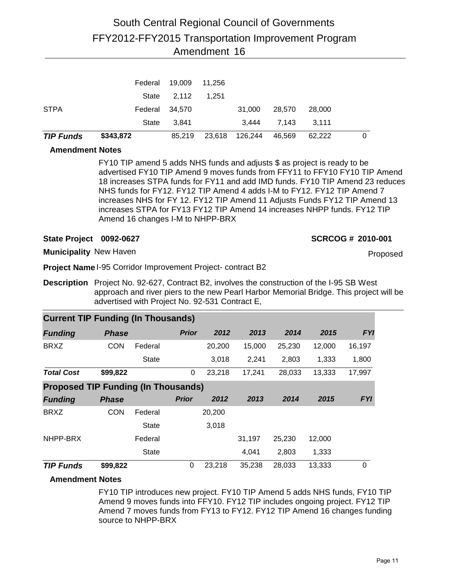| <b>TIP Funds</b> | \$343,872 | 85,219      |        | 23,618 126,244 | 46,569 | 62.222 | 0 |
|------------------|-----------|-------------|--------|----------------|--------|--------|---|
|                  | State     | 3.841       |        | 3.444          | 7.143  | 3.111  |   |
| <b>STPA</b>      | Federal   | 34.570      |        | 31.000         | 28,570 | 28,000 |   |
|                  | State     | 2,112 1,251 |        |                |        |        |   |
|                  | Federal   | 19,009      | 11.256 |                |        |        |   |

### **Amendment Notes**

FY10 TIP amend 5 adds NHS funds and adjusts \$ as project is ready to be advertised FY10 TIP Amend 9 moves funds from FFY11 to FFY10 FY10 TIP Amend 18 increases STPA funds for FY11 and add IMD funds. FY10 TIP Amend 23 reduces NHS funds for FY12. FY12 TIP Amend 4 adds I-M to FY12. FY12 TIP Amend 7 increases NHS for FY 12. FY12 TIP Amend 11 Adjusts Funds FY12 TIP Amend 13 increases STPA for FY13 FY12 TIP Amend 14 increases NHPP funds. FY12 TIP Amend 16 changes I-M to NHPP-BRX

### **State Project 0092-0627 SCRCOG # 2010-001**

Proposed

**Municipality** New Haven

**Project Name** I-95 Corridor Improvement Project- contract B2

**Description** Project No. 92-627, Contract B2, involves the construction of the I-95 SB West approach and river piers to the new Pearl Harbor Memorial Bridge. This project will be advertised with Project No. 92-531 Contract E,

| <b>Current TIP Funding (In Thousands)</b>  |              |              |              |        |        |        |        |            |  |  |  |  |
|--------------------------------------------|--------------|--------------|--------------|--------|--------|--------|--------|------------|--|--|--|--|
| <b>Funding</b>                             | <b>Phase</b> |              | <b>Prior</b> | 2012   | 2013   | 2014   | 2015   | <b>FYI</b> |  |  |  |  |
| <b>BRXZ</b>                                | <b>CON</b>   | Federal      |              | 20,200 | 15,000 | 25,230 | 12,000 | 16,197     |  |  |  |  |
|                                            |              | State        |              | 3,018  | 2,241  | 2,803  | 1,333  | 1,800      |  |  |  |  |
| <b>Total Cost</b>                          | \$99,822     |              | 0            | 23,218 | 17,241 | 28,033 | 13,333 | 17,997     |  |  |  |  |
| <b>Proposed TIP Funding (In Thousands)</b> |              |              |              |        |        |        |        |            |  |  |  |  |
| <b>Funding</b>                             | <b>Phase</b> |              | <b>Prior</b> | 2012   | 2013   | 2014   | 2015   | <b>FYI</b> |  |  |  |  |
| <b>BRXZ</b>                                | <b>CON</b>   | Federal      |              | 20,200 |        |        |        |            |  |  |  |  |
|                                            |              | State        |              | 3,018  |        |        |        |            |  |  |  |  |
| NHPP-BRX                                   |              | Federal      |              |        | 31,197 | 25,230 | 12,000 |            |  |  |  |  |
|                                            |              | <b>State</b> |              |        | 4,041  | 2,803  | 1,333  |            |  |  |  |  |
| <b>TIP Funds</b>                           | \$99,822     |              | 0            | 23,218 | 35,238 | 28,033 | 13,333 | 0          |  |  |  |  |

## **Amendment Notes**

FY10 TIP introduces new project. FY10 TIP Amend 5 adds NHS funds, FY10 TIP Amend 9 moves funds into FFY10. FY12 TIP includes ongoing project. FY12 TIP Amend 7 moves funds from FY13 to FY12. FY12 TIP Amend 16 changes funding source to NHPP-BRX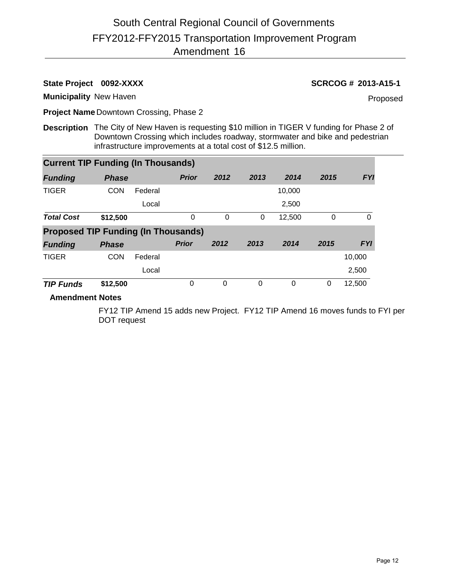**State Project** 0092-XXXX **SCRCOG # 2013-A15-1** 

**Municipality** New Haven

Proposed

**Project Name** Downtown Crossing, Phase 2

**Description** The City of New Haven is requesting \$10 million in TIGER V funding for Phase 2 of Downtown Crossing which includes roadway, stormwater and bike and pedestrian infrastructure improvements at a total cost of \$12.5 million.

| <b>Current TIP Funding (In Thousands)</b>  |              |         |              |      |      |        |      |            |  |  |  |  |
|--------------------------------------------|--------------|---------|--------------|------|------|--------|------|------------|--|--|--|--|
| <b>Funding</b>                             | <b>Phase</b> |         | <b>Prior</b> | 2012 | 2013 | 2014   | 2015 | <b>FYI</b> |  |  |  |  |
| <b>TIGER</b>                               | <b>CON</b>   | Federal |              |      |      | 10,000 |      |            |  |  |  |  |
|                                            |              | Local   |              |      |      | 2,500  |      |            |  |  |  |  |
| <b>Total Cost</b>                          | \$12,500     |         | $\Omega$     | 0    | 0    | 12,500 | 0    | 0          |  |  |  |  |
| <b>Proposed TIP Funding (In Thousands)</b> |              |         |              |      |      |        |      |            |  |  |  |  |
|                                            |              |         |              |      |      |        |      |            |  |  |  |  |
| <b>Funding</b>                             | <b>Phase</b> |         | <b>Prior</b> | 2012 | 2013 | 2014   | 2015 | <b>FYI</b> |  |  |  |  |
| <b>TIGER</b>                               | <b>CON</b>   | Federal |              |      |      |        |      | 10,000     |  |  |  |  |
|                                            |              | Local   |              |      |      |        |      | 2,500      |  |  |  |  |

### **Amendment Notes**

FY12 TIP Amend 15 adds new Project. FY12 TIP Amend 16 moves funds to FYI per DOT request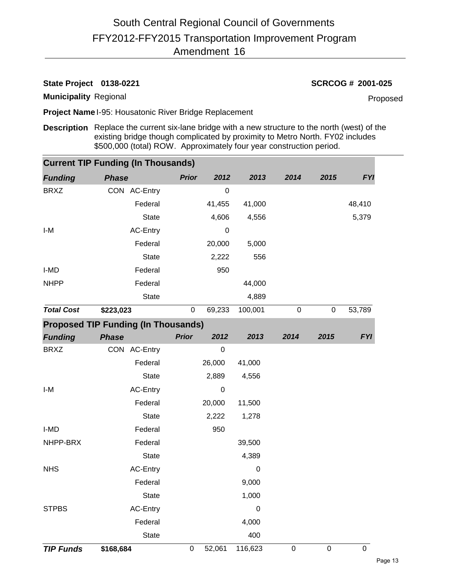# **State Project 0138-0221 SCRCOG # 2001-025**

**Municipality** Regional

Proposed

**Project Name** I-95: Housatonic River Bridge Replacement

**Description** Replace the current six-lane bridge with a new structure to the north (west) of the existing bridge though complicated by proximity to Metro North. FY02 includes \$500,000 (total) ROW. Approximately four year construction period.

|                   | <b>Current TIP Funding (In Thousands)</b>  |              |                  |                  |           |             |             |
|-------------------|--------------------------------------------|--------------|------------------|------------------|-----------|-------------|-------------|
| <b>Funding</b>    | <b>Phase</b>                               | <b>Prior</b> | 2012             | 2013             | 2014      | 2015        | <b>FYI</b>  |
| <b>BRXZ</b>       | CON AC-Entry                               |              | $\pmb{0}$        |                  |           |             |             |
|                   | Federal                                    |              | 41,455           | 41,000           |           |             | 48,410      |
|                   | <b>State</b>                               |              | 4,606            | 4,556            |           |             | 5,379       |
| I-M               | AC-Entry                                   |              | 0                |                  |           |             |             |
|                   | Federal                                    |              | 20,000           | 5,000            |           |             |             |
|                   | <b>State</b>                               |              | 2,222            | 556              |           |             |             |
| I-MD              | Federal                                    |              | 950              |                  |           |             |             |
| <b>NHPP</b>       | Federal                                    |              |                  | 44,000           |           |             |             |
|                   | <b>State</b>                               |              |                  | 4,889            |           |             |             |
| <b>Total Cost</b> | \$223,023                                  | $\pmb{0}$    | 69,233           | 100,001          | $\pmb{0}$ | $\mathbf 0$ | 53,789      |
|                   | <b>Proposed TIP Funding (In Thousands)</b> |              |                  |                  |           |             |             |
| <b>Funding</b>    | <b>Phase</b>                               | <b>Prior</b> | 2012             | 2013             | 2014      | 2015        | <b>FYI</b>  |
| <b>BRXZ</b>       | CON AC-Entry                               |              | $\boldsymbol{0}$ |                  |           |             |             |
|                   | Federal                                    |              | 26,000           | 41,000           |           |             |             |
|                   | <b>State</b>                               |              | 2,889            | 4,556            |           |             |             |
| I-M               | AC-Entry                                   |              | $\boldsymbol{0}$ |                  |           |             |             |
|                   | Federal                                    |              | 20,000           | 11,500           |           |             |             |
|                   | <b>State</b>                               |              | 2,222            | 1,278            |           |             |             |
| I-MD              | Federal                                    |              | 950              |                  |           |             |             |
| NHPP-BRX          | Federal                                    |              |                  | 39,500           |           |             |             |
|                   | <b>State</b>                               |              |                  | 4,389            |           |             |             |
| <b>NHS</b>        | <b>AC-Entry</b>                            |              |                  | $\pmb{0}$        |           |             |             |
|                   | Federal                                    |              |                  | 9,000            |           |             |             |
|                   | <b>State</b>                               |              |                  | 1,000            |           |             |             |
| <b>STPBS</b>      | AC-Entry                                   |              |                  | $\boldsymbol{0}$ |           |             |             |
|                   | Federal                                    |              |                  | 4,000            |           |             |             |
|                   | <b>State</b>                               |              |                  | 400              |           |             |             |
| <b>TIP Funds</b>  | \$168,684                                  | $\pmb{0}$    | 52,061           | 116,623          | $\pmb{0}$ | $\pmb{0}$   | $\mathbf 0$ |
|                   |                                            |              |                  |                  |           |             |             |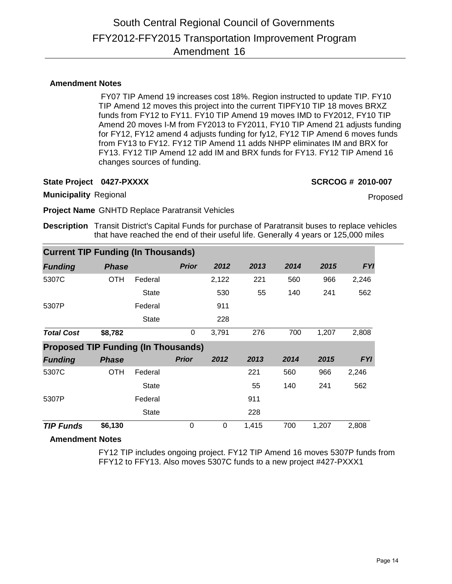## **Amendment Notes**

 FY07 TIP Amend 19 increases cost 18%. Region instructed to update TIP. FY10 TIP Amend 12 moves this project into the current TIPFY10 TIP 18 moves BRXZ funds from FY12 to FY11. FY10 TIP Amend 19 moves IMD to FY2012, FY10 TIP Amend 20 moves I-M from FY2013 to FY2011, FY10 TIP Amend 21 adjusts funding for FY12, FY12 amend 4 adjusts funding for fy12, FY12 TIP Amend 6 moves funds from FY13 to FY12. FY12 TIP Amend 11 adds NHPP eliminates IM and BRX for FY13. FY12 TIP Amend 12 add IM and BRX funds for FY13. FY12 TIP Amend 16 changes sources of funding.

**State Project 0427-PXXXX SCRCOG # 2010-007**

**Municipality** Regional

Proposed

**Project Name** GNHTD Replace Paratransit Vehicles

**Description** Transit District's Capital Funds for purchase of Paratransit buses to replace vehicles that have reached the end of their useful life. Generally 4 years or 125,000 miles

|                                            | <b>Current TIP Funding (In Thousands)</b> |              |              |       |       |      |       |            |  |  |  |  |  |
|--------------------------------------------|-------------------------------------------|--------------|--------------|-------|-------|------|-------|------------|--|--|--|--|--|
| <b>Funding</b>                             | <b>Phase</b>                              |              | <b>Prior</b> | 2012  | 2013  | 2014 | 2015  | <b>FYI</b> |  |  |  |  |  |
| 5307C                                      | OTH                                       | Federal      |              | 2,122 | 221   | 560  | 966   | 2,246      |  |  |  |  |  |
|                                            |                                           | <b>State</b> |              | 530   | 55    | 140  | 241   | 562        |  |  |  |  |  |
| 5307P                                      |                                           | Federal      |              | 911   |       |      |       |            |  |  |  |  |  |
|                                            |                                           | <b>State</b> |              | 228   |       |      |       |            |  |  |  |  |  |
| <b>Total Cost</b>                          | \$8,782                                   |              | 0            | 3,791 | 276   | 700  | 1,207 | 2,808      |  |  |  |  |  |
| <b>Proposed TIP Funding (In Thousands)</b> |                                           |              |              |       |       |      |       |            |  |  |  |  |  |
| <b>Funding</b>                             | <b>Phase</b>                              |              | <b>Prior</b> | 2012  | 2013  | 2014 | 2015  | <b>FYI</b> |  |  |  |  |  |
| 5307C                                      | OTH                                       | Federal      |              |       | 221   | 560  | 966   | 2,246      |  |  |  |  |  |
|                                            |                                           | <b>State</b> |              |       | 55    | 140  | 241   | 562        |  |  |  |  |  |
| 5307P                                      |                                           | Federal      |              |       | 911   |      |       |            |  |  |  |  |  |
|                                            |                                           | <b>State</b> |              |       | 228   |      |       |            |  |  |  |  |  |
| <b>TIP Funds</b>                           | \$6,130                                   |              | 0            | 0     | 1,415 | 700  | 1,207 | 2,808      |  |  |  |  |  |

## **Amendment Notes**

FY12 TIP includes ongoing project. FY12 TIP Amend 16 moves 5307P funds from FFY12 to FFY13. Also moves 5307C funds to a new project #427-PXXX1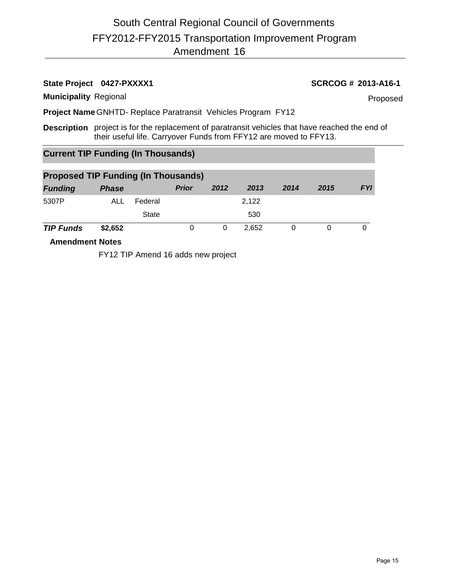# **State Project 0427-PXXXX1 SCRCOG # 2013-A16-1**

**Municipality** Regional

Proposed

**Project Name** GNHTD- Replace Paratransit Vehicles Program FY12

**Description** project is for the replacement of paratransit vehicles that have reached the end of their useful life. Carryover Funds from FFY12 are moved to FFY13.

# **Current TIP Funding (In Thousands)**

| <b>Proposed TIP Funding (In Thousands)</b> |              |              |              |      |       |      |      |            |  |  |  |
|--------------------------------------------|--------------|--------------|--------------|------|-------|------|------|------------|--|--|--|
| <b>Funding</b>                             | <b>Phase</b> |              | <b>Prior</b> | 2012 | 2013  | 2014 | 2015 | <b>FYI</b> |  |  |  |
| 5307P                                      | ALL          | Federal      |              |      | 2,122 |      |      |            |  |  |  |
|                                            |              | <b>State</b> |              |      | 530   |      |      |            |  |  |  |
| <b>TIP Funds</b>                           | \$2,652      |              |              | 0    | 2.652 |      |      |            |  |  |  |

**Amendment Notes**

FY12 TIP Amend 16 adds new project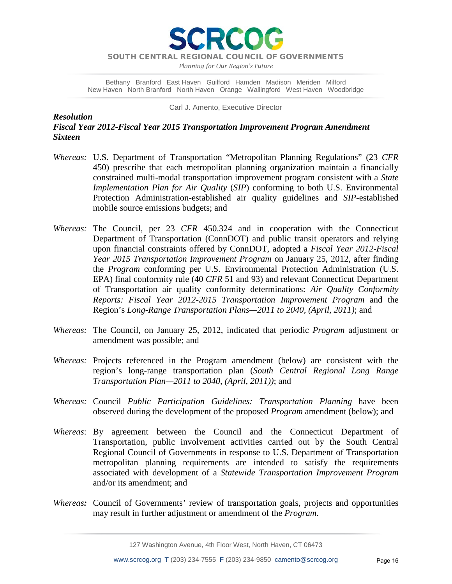**RCO** 

*Planning for Our Region's Future*

Bethany Branford East Haven Guilford Hamden Madison Meriden Milford New Haven North Branford North Haven Orange Wallingford West Haven Woodbridge

Carl J. Amento, Executive Director

*Resolution Fiscal Year 2012-Fiscal Year 2015 Transportation Improvement Program Amendment Sixteen*

- *Whereas:* U.S. Department of Transportation "Metropolitan Planning Regulations" (23 *CFR* 450) prescribe that each metropolitan planning organization maintain a financially constrained multi-modal transportation improvement program consistent with a *State Implementation Plan for Air Quality* (*SIP*) conforming to both U.S. Environmental Protection Administration-established air quality guidelines and *SIP*-established mobile source emissions budgets; and
- *Whereas:* The Council, per 23 *CFR* 450.324 and in cooperation with the Connecticut Department of Transportation (ConnDOT) and public transit operators and relying upon financial constraints offered by ConnDOT, adopted a *Fiscal Year 2012-Fiscal Year 2015 Transportation Improvement Program* on January 25, 2012, after finding the *Program* conforming per U.S. Environmental Protection Administration (U.S. EPA) final conformity rule (40 *CFR* 51 and 93) and relevant Connecticut Department of Transportation air quality conformity determinations: *Air Quality Conformity Reports: Fiscal Year 2012-2015 Transportation Improvement Program* and the Region's *Long-Range Transportation Plans—2011 to 2040, (April, 2011)*; and
- *Whereas:* The Council, on January 25, 2012, indicated that periodic *Program* adjustment or amendment was possible; and
- *Whereas:* Projects referenced in the Program amendment (below) are consistent with the region's long-range transportation plan (*South Central Regional Long Range Transportation Plan—2011 to 2040, (April, 2011))*; and
- *Whereas:* Council *Public Participation Guidelines: Transportation Planning* have been observed during the development of the proposed *Program* amendment (below); and
- *Whereas*: By agreement between the Council and the Connecticut Department of Transportation, public involvement activities carried out by the South Central Regional Council of Governments in response to U.S. Department of Transportation metropolitan planning requirements are intended to satisfy the requirements associated with development of a *Statewide Transportation Improvement Program* and/or its amendment; and
- *Whereas:* Council of Governments' review of transportation goals, projects and opportunities may result in further adjustment or amendment of the *Program*.